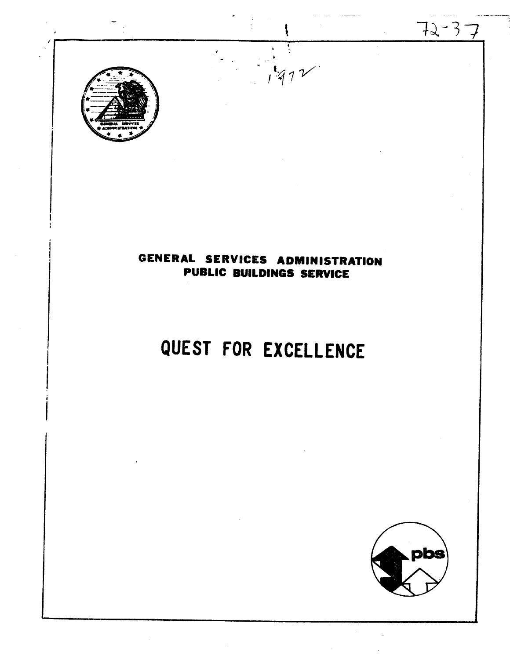

# GENERAL SERVICES ADMINISTRATION PUBLIC BUILDINGS SERVICE

 $1.972$ 

# QUEST FOR EXCELLENCE

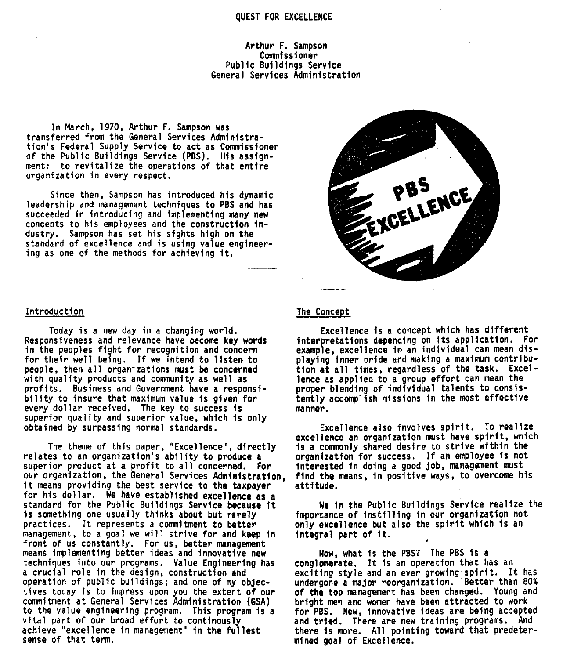### QUEST FOR EXCELLENCE

# Arthur F. Sampson Comnissioner Public Buildinas Service General Services Administration

In March, 1970, Arthur F. Sampson was transferred from the General Services Administration's Federal Supply Service to act as Comnissioner of the Public Buildings Service (PBS). His assignment: to revitalize the operations of that entire organization in every respect.

Since then, Sampson has introduced his dynamic leadership and management techniques to PBS and has succeeded in introducing and implementing many new concepts to his employees and the construction industry. Sampson has set his sights high on the standard of excellence and is using value engineering as one of the methods for achieving it.



Today is a new day in a changing world. Responsiveness and relevance have become key words in the peoples fight for recognition and concern for their well being. If we intend to listen to people, then all organizations must be concerned with quality products and community as well as profits. Business and Government have a responsibility to insure that maximum value is given for every dollar received. The key to success is superior quality and superior value, which is only obtained by surpassing normal standards.

The theme of this paper, "Excellence", directly relates to an organization's ability to produce a superior product at a profit to all concerned. For our organization, the General Services Admlnistratfon, it means providing the best service to the taxpayer for his dollar. We have established excellence as a standard for the Public Buildings Service because it is something one usually thinks about but rarely practices. It represents a comnitment to better management, to a goal we will strive for and keep in front of us constantly. For us, better management means implementing better ideas and innovative new techniques into our programs. Value Engineering has a crucial role in the design, construction and operation of public buildings; and one of my objectives today is to impress upon you the extent of our commitment at General Services Administration (GSA) to the value engineering program. This program is a vital part of our broad effort to continously achieve "excellence in management" in the fullest sense of that term.



# The Concept

Excellence is a concept which has different interpretations depending on its application. For example, excellence in an individual can mean displaying inner pride and making a maximum contribution at all times, regardless of the task. Excellence as applied to a group effort can mean the proper blending of indivtdual talents to consistently accomplish missions in the most effective manner.

Excellence also involves spirit. To realize excellence an organization must have spirit, which is a comnonly shared desire to strive within the organization-for success. If an employee is not interested in doing a good job, management must find the means, in positive ways, to overcome his attitude.

We in the Public Buildings Service realize the importance of instill ing in our organization not only excellence but also the spirit which is an integral part of it. **<sup>4</sup>**

Now, what is the PBSP The PBS is a conglomerate. It is an operation that has an exciting style and an ever growing spirit. It has undergone a major reorganization. Better than 80% of the top management has been changed. Young and bright men and women have been attracted to work for PBS. New, innovative ideas are being accepted and tried. There are new training programs. And there is more. All pointing toward that predetermined goal of Excellence.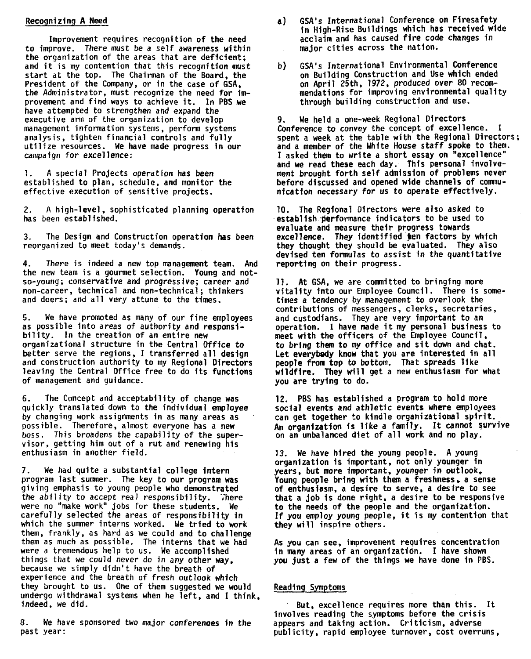# Recognizing A Need

Improvement requires recognition of the need to improve. There must be a self awareness within the organization of the areas that are deficient; and it is my contention that this recognition must start at the top. The Chairman of the Board, the President of the Company, or in the case of GSA, the Administrator, must recognize the need for improvement and find ways to achieve it. In PBS we have attempted to strengthen and expand the executive arm of the organization to develop management information systems, perform systems analysis, tighten financial controls and fully utilize resources. We have made progress in our campaign for excellence:

1. A special Projects operation has been established to plan, schedule, and monitor the effective execution of sensitive projects.

2. A high-level, sophisticated planning operation has been established.

3. The Design and Construction operation has been reorganized to meet today's demands.

4. There is indeed a new top management team. And the new team is a gourmet selection. Young and notso-young ; conservative and progressive; career and non-career, technical and non-technical ; thinkers and doers; and all very attune to the times.

**5.** We have promoted as many of our fine employees as possible into areas of authority and responsibility. In the creation of an entire new organizational structure in the Central Office to better serve the regions, I transferred all destgn and construction authority to my Regional Directors leaving the Central Office free to do its functions of management and guidance.

**6.** The Concept and acceptability of change was quickly translated down to the individual employee by changing work assignments in as many areas as possible. Therefore, almost everyone has a new boss. This broadens the capability of the supervisor, getting him out of a rut and renewing his enthusiasm in another field.

**7.** We had quite a substantial college intern program last summer. The key to our program was giving emphasis to young people who demonstrated the ability to accept real responsibility. There were no "make work" jobs for these students. We carefully selected the areas of responsibility in which the sumner interns worked. We tried to work them, frankly, as hard as we could and to challenge them as much as possible. The interns that we had were a tremendous help to us. We accomplished things that we could never do in any other way, because we simply didn't have the breath of experience and the breath of fresh outlook which they brought to us. One of them suggested we would undergo withdrawal systems when he left, and I think. indeed, we did.

8. We have sponsored two major conferences in the past year:

- a) GSA's International Conference on Firesafety in High-Rise Buildings which has received wide acclaim and has caused fire code changes in major cities across the nation.
- b) GSA's International Environmental Conference on Building Construction and Use which ended on April 25th, 1972, produced over 80 recom-<br>mendations for improving environmental quality through building construction and use.

**9.** We held a one-week Regional Directors Conference to convey the concept of excellence. I spent a week at the table with the Regional Directors; and a member of the White House staff spoke to them. I asked them to wrlte a short essay on "excellence" and we read these each day. This personal involvement brought forth self admission of problems never before discussed and opened wide channels of communicatfon necessary for us to operate effectively.

10. The Regional Directors were also asked to establish performance indicators to be used to evaluate and measure their progress towards excellence. They identified ten factors by which they thought they should be evaluated. They also devised ten formulas to assist in the quantitative reporting on their progress.

11. At GSA, we are comnitted to bringing more vitaltty into our Employee Council. There is sometimes a tendency by management to overlook the contributions of messengers, clerks, secretaries, and custodians. They are very important to an operation. I have made it my personal business to meet with the officers of the Employee Council, to bring them to my office and sit down and chat. Let everybady know that you are interested in all people **from** top to bottom. That spreads like wildfire. They will get a new enthustasm for what you are trying to do.

12. PBS has established a program to hold more social events and athletic events where employees can get together to kindle organizational spirit. An organization is like a family. It cannot survive on an unbalanced diet of all work and no play.

13. We have hired the young people. A young organization is important, not only younger in years, but more important, younger in outlook, Young people bring with them a freshness. a sense of enthusiasm, a desire to serve, a desire to see that a job is done right. a desire to be responsive to the needs of the people and the organization. If you employ young people, it is my contention that they will inspire others.

As you can see, improvement requires concentration in many areas of an organization. I have shown you just a few of the things we have done in PBS.

# Reading Symptoms

But, excellence requires more than this. It involves reading the symptoms before the crisis appears and taking action. Criticism, adverse publicity, rapid employee turnover, cost overruns,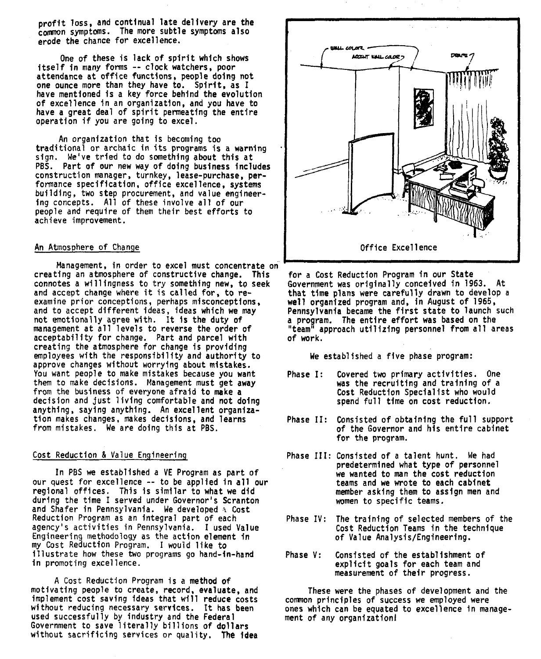profit loss, and continual late delivery are the common symptoms. The more subtle symptoms also erode the chance for excellence.

One of these is lack of spirit which shows itself in many forms -- clock watchers, poor ntsert in many forms -- clock watchers, pool<br>attendance at office functions, people doing not<br>one ounce more than they have to. Spirit, as I have mentioned is a key force behind the evolution of excellence in an organization, and you have to have a great deal of spirit permeating the entire operation if you are going to excel.

An organization that is becoming too traditional or archaic in its programs is a warning sign. We've tried to do something about this at PBS. Part of our new way of doing business includes construction manager, turnkey, lease-purchase, performance specification, office excellence, systems building, two step procurement, and value engineering concepts. All of these involve all of our people and require of them their best efforts to achieve improvement.

# An Atmosphere of Change

Manaqement, in order to excel must concentrate on creating an atmosphere of constructive change. This connotes a willingness to try something new, to seek and accept change where it is called for, to reexamine prior conceptions, perhaps misconceptions, and to accept different ideas, ideas which we may not emotionally agree with. It Is the duty of management at all levels to reverse the order of acceptability for change. Part and parcel with creating the atmosphere for change is providing employees with the responsibility and authority to approve changes without worrying about mistakes. You want people to make mistakes because you want them to make decisions. Management must get away from the business of everyone afraid to make a decision and just living comfortable and not doing anything, saying anything. An excel lent organization makes changes, makes decisions, and learns from mistakes. We are doing this at PBS.

# Cost Reduction & Value Engineering

In PBS we established a VE Program as part of our quest for excellence -- to be applied in all our regional offices. This is similar to what we did during the time I served under Governor's Scranton and Shafer in Pennsylvania. We developed **a** Cost Reduction Program as an integral part of each agency's activities in Pennsylvania. I used Value Engineering methodology as the action element in my Cost Reduction Program. I would like to illustrate how these two programs go hand-in-hand in promoting excellence.

A Cost Reduction Program is a method of motivating people to create, record, evaluate, and implement cost saving ideas that will reduce costs without reducing necessary services. It has been used successfully by industry and the Federal Government to save literally billions of dollars without sacrificing services or quality. **The** idea



for a Cost Reduction Program in our State Government was originally conceived in 1963. At that time plans were carefully drawn to develop a well organized program and, in August of 1965, Pennsylvania became the first state to launch such program. The entire effort was based on the team" approach utilizing personnel from all areas of work.

We established a five phase program:

- Phase I: Covered two primary activities. One was the recruiting and training of a Cost Reduction Special ist who would spend full time on cost reduction.
- Phase 11: Consisted of obtaining the full support of the Governor and his entire cabinet for the program.
- Phase 111: Consisted of a talent hunt. We had predetermined what type of personnel we wanted to man the cost reduction teams and we wrote to each cabinet member asking them to assign men and women to specific teams.
- Phase IV: The training of selected members of the Cost Reduction Teams in the technique of Value Analysis/Engineering.
- Phase V: Consisted of the establishment of explicit goals for each team and measurement of their progress.

These were the phases of development and the comnon principles of success we employed were ones which can be equated to excellence In management of any organization1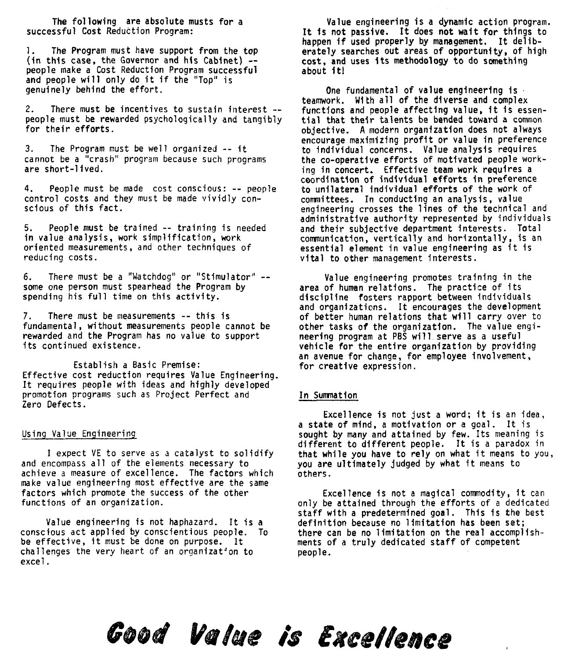The following are absolute musts for a successful Cost Reduction Program:

1. The Program must have support from the top (in this case, the Governor and his Cabinet) - people make a Cost Reduction Program successful and people will only do it if the "Top" is genuinely behind the effort.

2. There must be incentives to sustain interest -- people must be rewarded psychologically and tangibly for their efforts.

3. The Program must be well organized -- it cannot be a "crash" program because such programs are short-1 ived.

4. People must be made cost conscious: -- people control costs and they must be made vividly conscious of this fact.

5. People must be trained -- training is needed in value analysis, work simplification, work oriented measurements, and other techniques of reducing costs.

6. There must be a "Watchdog" or "Stimulator" - some one person must spearhead the Program by spending his full time on this activity.

7. There must be measurements -- this is fundamental, without measurements people cannot be rewarded and the Program has no value to support its continued existence.

Establish a Basic Premise: Effective cost reduction requires Value Engineering. It requires people with ideas and highly developed promotion programs such as Project Perfect and Zero Defects.

#### Using Value Engineering

I expect VE to serve as a catalyst to solidify and encompass all of the elements necessary to achieve a measure of excellence. The factors which make value engineering most effective are the same factors which promote the success of the other functions of an organization.

Value engineering is not haphazard. It is a conscious act applied by conscientious people. To be effective, it must be done on purpose. It challenges the very heart of an organization to excel.

Value engineering is a dynamic action program. It is not passive. It does not wait for things to happen if used properly by management. It deliberately searches out areas of opportunity, of high cost, and uses its methodology to do something about it!

One fundamental of value engineering is . teamwork. Wi th all of the diverse and complex functions and people affecting value, it is essential that their talents be bended toward a **common** objective. A modern organization does not always encourage maximizing profit or value in preference to individual concerns. Value analysis requires the co-operative efforts of motivated people working in concert, Effective team work requires a coordf nation of individual efforts in preference to unilateral individual efforts of the work of comnittees. In conducting an analysis, value engineering crosses the lines of the technical and administrative authority represented by individuals and their subjective department interests. Total communication, vertically and horizontally, is an essential element in value engineering as it is vital to other management interests.

Value engineering promotes training in the area of human relations. The practice of its discipline fosters rapport between individuals and organizations. It encourages the development of better human relations that will carry over to other tasks of the organization. The value engineering program at PBS will serve as a useful vehicle for the entire organization by providing vehicle for the entire organization by providing<br>an avenue for change, for employee involvement,<br>for creative expression.

# In Sumnation

mmation<br>Excellence is not just a word; it is an idea, a state of mind, a motivation or a goal. It is sought by many and attained by few. Its meaning is different to different people. It is a paradox in that while you have to rely on what it means to you, you are ultimately judged by what it means to others.

Excellence is not a magical commodity, it can only be attained through the efforts of a dedicated staff with a predetermined goal. This is the best definition because no limitation has been set; there can be no limitation on the real accomplishments of a truly dedicated staff of competent people.

# Good Value is Excellence